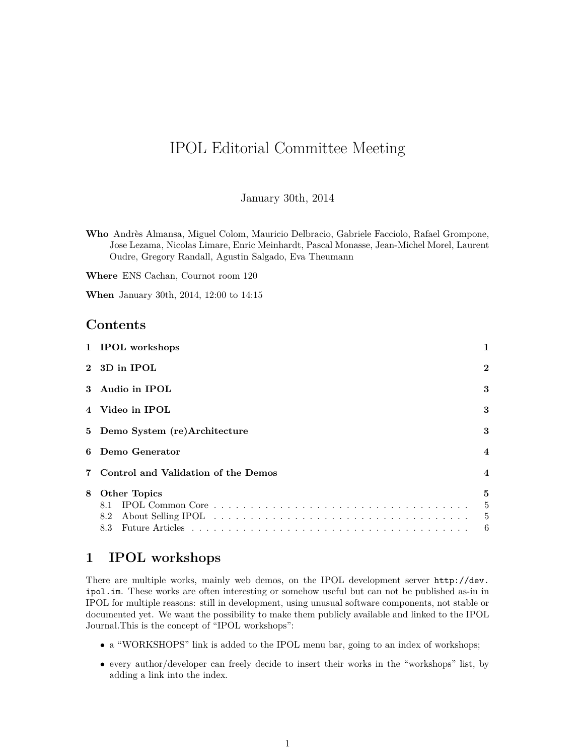# IPOL Editorial Committee Meeting

January 30th, 2014

**Where** ENS Cachan, Cournot room 120

**When** January 30th, 2014, 12:00 to 14:15

### **Contents**

| 1 IPOL workshops                      |                   |
|---------------------------------------|-------------------|
| 2 3D in IPOL                          | $\bf{2}$          |
| 3 Audio in IPOL                       | 3                 |
| 4 Video in IPOL                       | 3                 |
| 5 Demo System (re)Architecture        | 3                 |
| 6 Demo Generator                      | $\overline{4}$    |
| 7 Control and Validation of the Demos | $\overline{4}$    |
| <b>Other Topics</b><br>8.1            | 5<br>5<br>5<br>-6 |
|                                       |                   |

## <span id="page-0-0"></span>**1 IPOL workshops**

There are multiple works, mainly web demos, on the IPOL development server [http://dev.](http://dev.ipol.im) [ipol.im](http://dev.ipol.im). These works are often interesting or somehow useful but can not be published as-in in IPOL for multiple reasons: still in development, using unusual software components, not stable or documented yet. We want the possibility to make them publicly available and linked to the IPOL Journal.This is the concept of "IPOL workshops":

- a "WORKSHOPS" link is added to the IPOL menu bar, going to an index of workshops;
- every author/developer can freely decide to insert their works in the "workshops" list, by adding a link into the index.

**Who** Andrès Almansa, Miguel Colom, Mauricio Delbracio, Gabriele Facciolo, Rafael Grompone, Jose Lezama, Nicolas Limare, Enric Meinhardt, Pascal Monasse, Jean-Michel Morel, Laurent Oudre, Gregory Randall, Agustin Salgado, Eva Theumann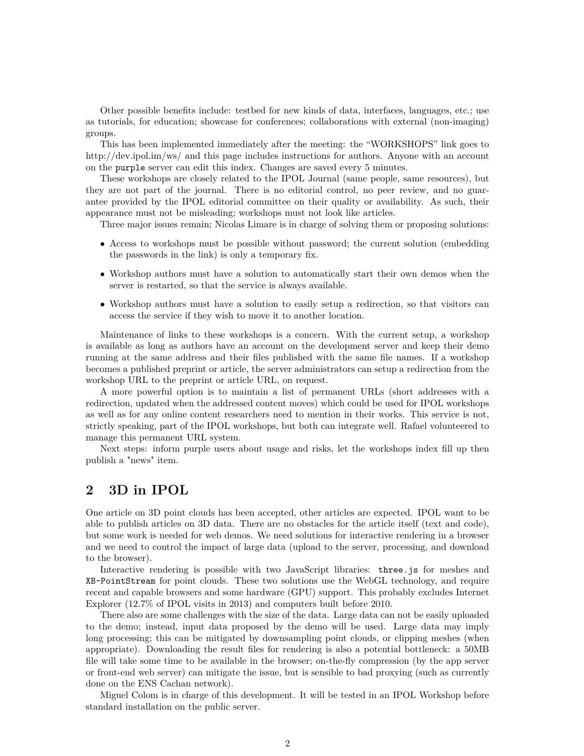Other possible benefits include: testbed for new kinds of data, interfaces, languages, etc.; use as tutorials, for education; showcase for conferences; collaborations with external (non-imaging) groups.

This has been implemented immediately after the meeting: the "WORKSHOPS" link goes to http://dev.ipol.im/ws/ and this page includes instructions for authors. Anyone with an account on the purple server can edit this index. Changes are saved every 5 minutes.

These workshops are closely related to the IPOL Journal (same people, same resources), but they are not part of the journal. There is no editorial control, no peer review, and no guarantee provided by the IPOL editorial committee on their quality or availability. As such, their appearance must not be misleading; workshops must not look like articles.

Three major issues remain; Nicolas Limare is in charge of solving them or proposing solutions:

- Access to workshops must be possible without password; the current solution (embedding the passwords in the link) is only a temporary fix.
- Workshop authors must have a solution to automatically start their own demos when the server is restarted, so that the service is always available.
- Workshop authors must have a solution to easily setup a redirection, so that visitors can access the service if they wish to move it to another location.

Maintenance of links to these workshops is a concern. With the current setup, a workshop is available as long as authors have an account on the development server and keep their demo running at the same address and their files published with the same file names. If a workshop becomes a published preprint or article, the server administrators can setup a redirection from the workshop URL to the preprint or article URL, on request.

A more powerful option is to maintain a list of permanent URLs (short addresses with a redirection, updated when the addressed content moves) which could be used for IPOL workshops as well as for any online content researchers need to mention in their works. This service is not, strictly speaking, part of the IPOL workshops, but both can integrate well. Rafael volunteered to manage this permanent URL system.

Next steps: inform purple users about usage and risks, let the workshops index fill up then publish a "news" item.

## <span id="page-1-0"></span>**2 3D in IPOL**

One article on 3D point clouds has been accepted, other articles are expected. IPOL want to be able to publish articles on 3D data. There are no obstacles for the article itself (text and code), but some work is needed for web demos. We need solutions for interactive rendering in a browser and we need to control the impact of large data (upload to the server, processing, and download to the browser).

Interactive rendering is possible with two JavaScript libraries: three.js for meshes and XB-PointStream for point clouds. These two solutions use the WebGL technology, and require recent and capable browsers and some hardware (GPU) support. This probably excludes Internet Explorer (12.7% of IPOL visits in 2013) and computers built before 2010.

There also are some challenges with the size of the data. Large data can not be easily uploaded to the demo; instead, input data proposed by the demo will be used. Large data may imply long processing; this can be mitigated by downsampling point clouds, or clipping meshes (when appropriate). Downloading the result files for rendering is also a potential bottleneck: a 50MB file will take some time to be available in the browser; on-the-fly compression (by the app server or front-end web server) can mitigate the issue, but is sensible to bad proxying (such as currently done on the ENS Cachan network).

Miguel Colom is in charge of this development. It will be tested in an IPOL Workshop before standard installation on the public server.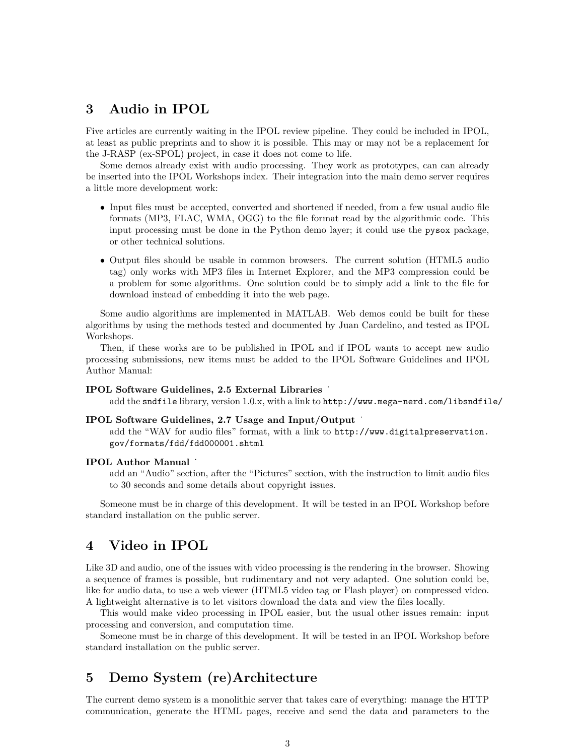## <span id="page-2-0"></span>**3 Audio in IPOL**

Five articles are currently waiting in the IPOL review pipeline. They could be included in IPOL, at least as public preprints and to show it is possible. This may or may not be a replacement for the J-RASP (ex-SPOL) project, in case it does not come to life.

Some demos already exist with audio processing. They work as prototypes, can can already be inserted into the IPOL Workshops index. Their integration into the main demo server requires a little more development work:

- Input files must be accepted, converted and shortened if needed, from a few usual audio file formats (MP3, FLAC, WMA, OGG) to the file format read by the algorithmic code. This input processing must be done in the Python demo layer; it could use the pysox package, or other technical solutions.
- Output files should be usable in common browsers. The current solution (HTML5 audio tag) only works with MP3 files in Internet Explorer, and the MP3 compression could be a problem for some algorithms. One solution could be to simply add a link to the file for download instead of embedding it into the web page.

Some audio algorithms are implemented in MATLAB. Web demos could be built for these algorithms by using the methods tested and documented by Juan Cardelino, and tested as IPOL Workshops.

Then, if these works are to be published in IPOL and if IPOL wants to accept new audio processing submissions, new items must be added to the IPOL Software Guidelines and IPOL Author Manual:

#### **IPOL Software Guidelines, 2.5 External Libraries**

add the sndfile library, version 1.0.x, with a link to <http://www.mega-nerd.com/libsndfile/>

#### **IPOL Software Guidelines, 2.7 Usage and Input/Output** ˙

add the "WAV for audio files" format, with a link to [http://www.digitalpreservation.](http://www.digitalpreservation.gov/formats/fdd/fdd000001.shtml) [gov/formats/fdd/fdd000001.shtml](http://www.digitalpreservation.gov/formats/fdd/fdd000001.shtml)

#### **IPOL Author Manual**

add an "Audio" section, after the "Pictures" section, with the instruction to limit audio files to 30 seconds and some details about copyright issues.

Someone must be in charge of this development. It will be tested in an IPOL Workshop before standard installation on the public server.

### <span id="page-2-1"></span>**4 Video in IPOL**

Like 3D and audio, one of the issues with video processing is the rendering in the browser. Showing a sequence of frames is possible, but rudimentary and not very adapted. One solution could be, like for audio data, to use a web viewer (HTML5 video tag or Flash player) on compressed video. A lightweight alternative is to let visitors download the data and view the files locally.

This would make video processing in IPOL easier, but the usual other issues remain: input processing and conversion, and computation time.

Someone must be in charge of this development. It will be tested in an IPOL Workshop before standard installation on the public server.

## <span id="page-2-2"></span>**5 Demo System (re)Architecture**

The current demo system is a monolithic server that takes care of everything: manage the HTTP communication, generate the HTML pages, receive and send the data and parameters to the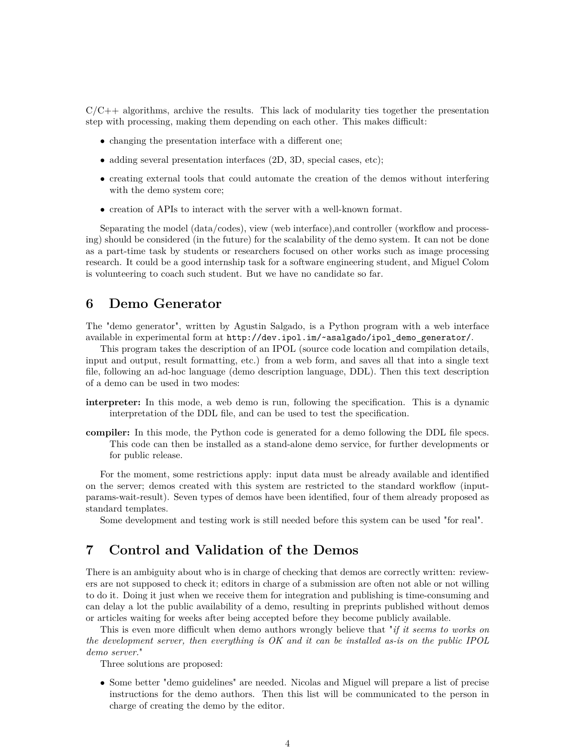$C/C++$  algorithms, archive the results. This lack of modularity ties together the presentation step with processing, making them depending on each other. This makes difficult:

- changing the presentation interface with a different one;
- adding several presentation interfaces (2D, 3D, special cases, etc);
- creating external tools that could automate the creation of the demos without interfering with the demo system core;
- creation of APIs to interact with the server with a well-known format.

Separating the model (data/codes), view (web interface),and controller (workflow and processing) should be considered (in the future) for the scalability of the demo system. It can not be done as a part-time task by students or researchers focused on other works such as image processing research. It could be a good internship task for a software engineering student, and Miguel Colom is volunteering to coach such student. But we have no candidate so far.

### <span id="page-3-0"></span>**6 Demo Generator**

The "demo generator", written by Agustin Salgado, is a Python program with a web interface available in experimental form at [http://dev.ipol.im/~asalgado/ipol\\_demo\\_generator/](http://dev.ipol.im/~asalgado/ipol_demo_generator/).

This program takes the description of an IPOL (source code location and compilation details, input and output, result formatting, etc.) from a web form, and saves all that into a single text file, following an ad-hoc language (demo description language, DDL). Then this text description of a demo can be used in two modes:

- **interpreter:** In this mode, a web demo is run, following the specification. This is a dynamic interpretation of the DDL file, and can be used to test the specification.
- **compiler:** In this mode, the Python code is generated for a demo following the DDL file specs. This code can then be installed as a stand-alone demo service, for further developments or for public release.

For the moment, some restrictions apply: input data must be already available and identified on the server; demos created with this system are restricted to the standard workflow (inputparams-wait-result). Seven types of demos have been identified, four of them already proposed as standard templates.

Some development and testing work is still needed before this system can be used "for real".

### <span id="page-3-1"></span>**7 Control and Validation of the Demos**

There is an ambiguity about who is in charge of checking that demos are correctly written: reviewers are not supposed to check it; editors in charge of a submission are often not able or not willing to do it. Doing it just when we receive them for integration and publishing is time-consuming and can delay a lot the public availability of a demo, resulting in preprints published without demos or articles waiting for weeks after being accepted before they become publicly available.

This is even more difficult when demo authors wrongly believe that "*if it seems to works on the development server, then everything is OK and it can be installed as-is on the public IPOL demo server.*"

Three solutions are proposed:

• Some better "demo guidelines" are needed. Nicolas and Miguel will prepare a list of precise instructions for the demo authors. Then this list will be communicated to the person in charge of creating the demo by the editor.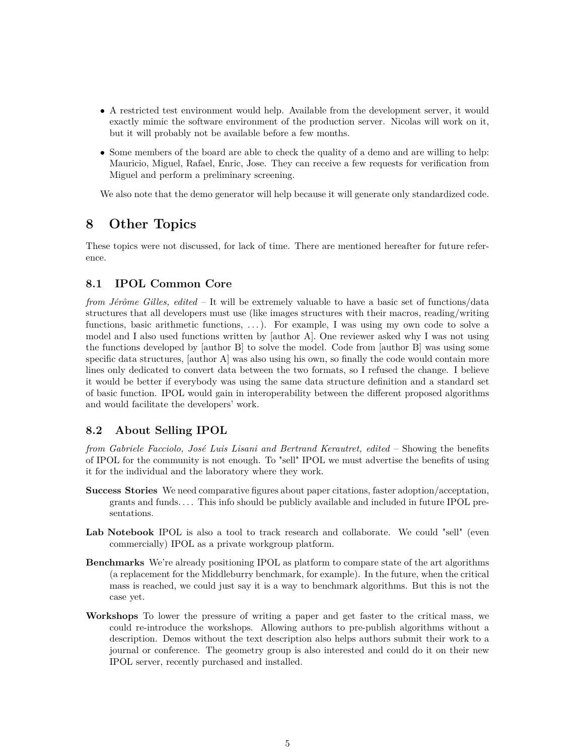- A restricted test environment would help. Available from the development server, it would exactly mimic the software environment of the production server. Nicolas will work on it, but it will probably not be available before a few months.
- Some members of the board are able to check the quality of a demo and are willing to help: Mauricio, Miguel, Rafael, Enric, Jose. They can receive a few requests for verification from Miguel and perform a preliminary screening.

We also note that the demo generator will help because it will generate only standardized code.

## <span id="page-4-0"></span>**8 Other Topics**

These topics were not discussed, for lack of time. There are mentioned hereafter for future reference.

#### <span id="page-4-1"></span>**8.1 IPOL Common Core**

*from Jérôme Gilles, edited* – It will be extremely valuable to have a basic set of functions/data structures that all developers must use (like images structures with their macros, reading/writing functions, basic arithmetic functions, . . . ). For example, I was using my own code to solve a model and I also used functions written by [author A]. One reviewer asked why I was not using the functions developed by [author B] to solve the model. Code from [author B] was using some specific data structures, [author A] was also using his own, so finally the code would contain more lines only dedicated to convert data between the two formats, so I refused the change. I believe it would be better if everybody was using the same data structure definition and a standard set of basic function. IPOL would gain in interoperability between the different proposed algorithms and would facilitate the developers' work.

#### <span id="page-4-2"></span>**8.2 About Selling IPOL**

*from Gabriele Facciolo, José Luis Lisani and Bertrand Kerautret, edited* – Showing the benefits of IPOL for the community is not enough. To "sell" IPOL we must advertise the benefits of using it for the individual and the laboratory where they work.

- **Success Stories** We need comparative figures about paper citations, faster adoption/acceptation, grants and funds. . . . This info should be publicly available and included in future IPOL presentations.
- **Lab Notebook** IPOL is also a tool to track research and collaborate. We could "sell" (even commercially) IPOL as a private workgroup platform.
- **Benchmarks** We're already positioning IPOL as platform to compare state of the art algorithms (a replacement for the Middleburry benchmark, for example). In the future, when the critical mass is reached, we could just say it is a way to benchmark algorithms. But this is not the case yet.
- **Workshops** To lower the pressure of writing a paper and get faster to the critical mass, we could re-introduce the workshops. Allowing authors to pre-publish algorithms without a description. Demos without the text description also helps authors submit their work to a journal or conference. The geometry group is also interested and could do it on their new IPOL server, recently purchased and installed.